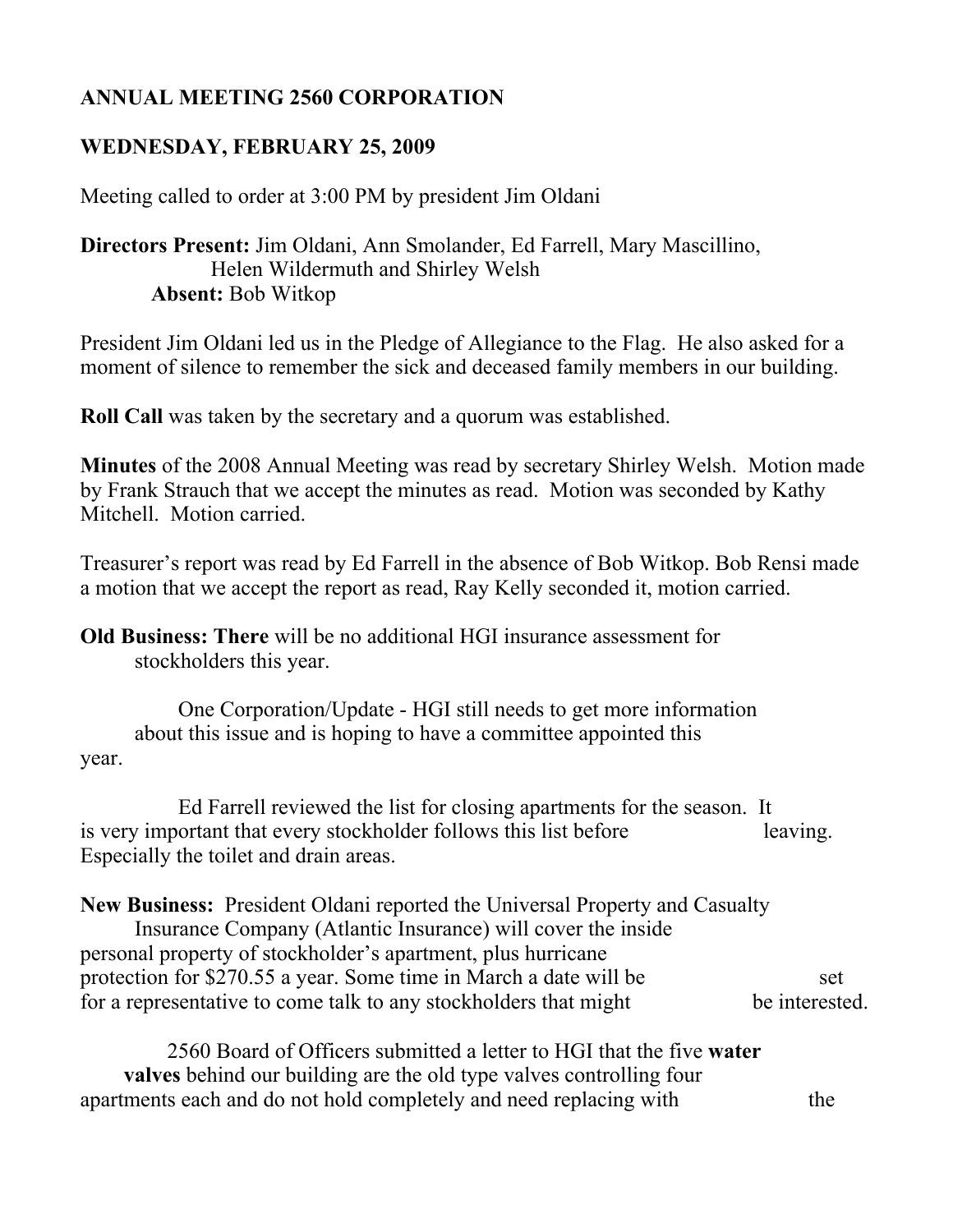## **ANNUAL MEETING 2560 CORPORATION**

## **WEDNESDAY, FEBRUARY 25, 2009**

Meeting called to order at 3:00 PM by president Jim Oldani

## **Directors Present:** Jim Oldani, Ann Smolander, Ed Farrell, Mary Mascillino, Helen Wildermuth and Shirley Welsh **Absent:** Bob Witkop

President Jim Oldani led us in the Pledge of Allegiance to the Flag. He also asked for a moment of silence to remember the sick and deceased family members in our building.

**Roll Call** was taken by the secretary and a quorum was established.

**Minutes** of the 2008 Annual Meeting was read by secretary Shirley Welsh. Motion made by Frank Strauch that we accept the minutes as read. Motion was seconded by Kathy Mitchell. Motion carried.

Treasurer's report was read by Ed Farrell in the absence of Bob Witkop. Bob Rensi made a motion that we accept the report as read, Ray Kelly seconded it, motion carried.

**Old Business: There** will be no additional HGI insurance assessment for stockholders this year.

 One Corporation/Update - HGI still needs to get more information about this issue and is hoping to have a committee appointed this year.

 Ed Farrell reviewed the list for closing apartments for the season. It is very important that every stockholder follows this list before leaving. Especially the toilet and drain areas.

**New Business:** President Oldani reported the Universal Property and Casualty Insurance Company (Atlantic Insurance) will cover the inside personal property of stockholder's apartment, plus hurricane protection for \$270.55 a year. Some time in March a date will be set for a representative to come talk to any stockholders that might be interested.

2560 Board of Officers submitted a letter to HGI that the five **water valves** behind our building are the old type valves controlling four apartments each and do not hold completely and need replacing with the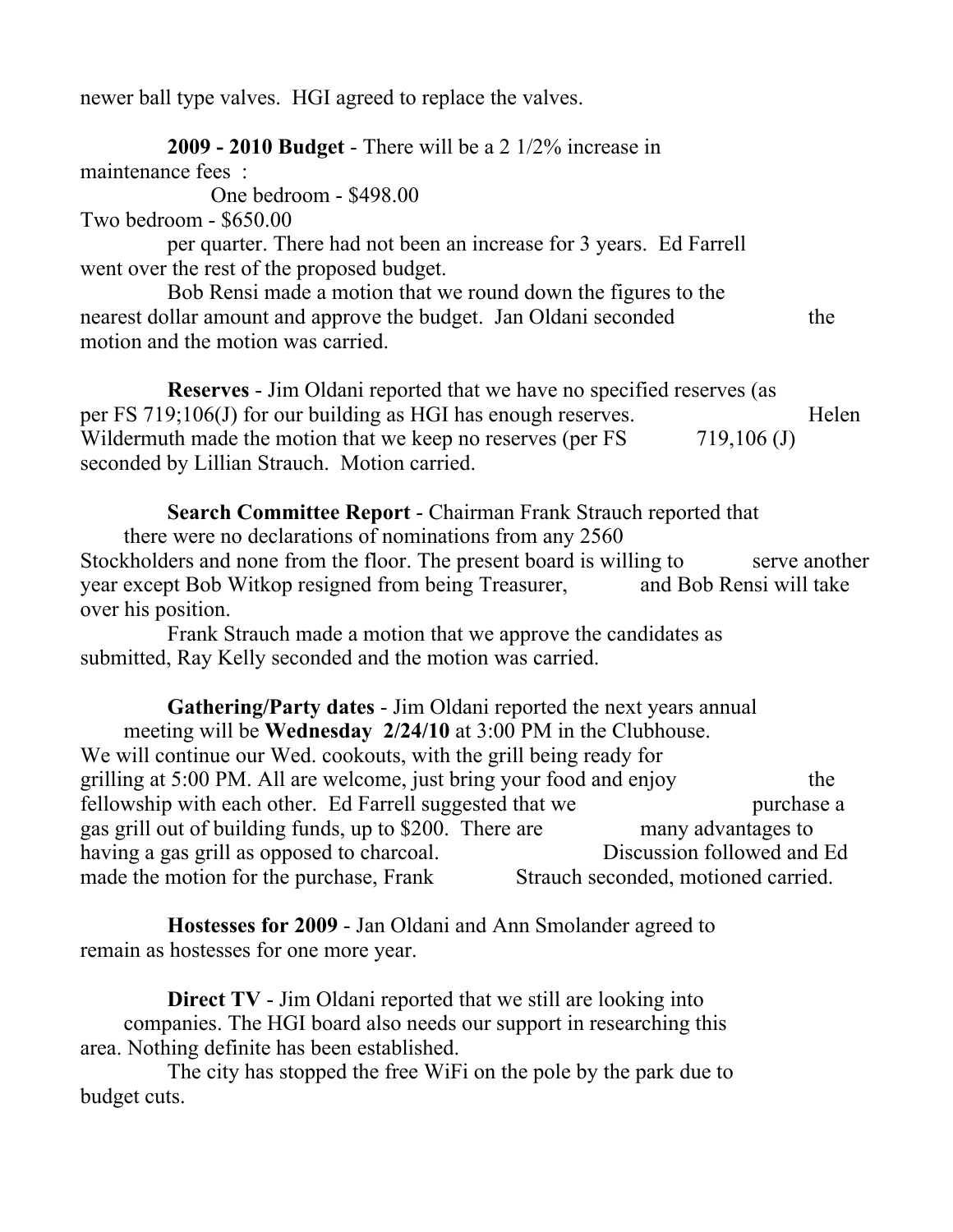newer ball type valves. HGI agreed to replace the valves.

**2009 - 2010 Budget** - There will be a 2 1/2% increase in

maintenance fees :

One bedroom - \$498.00

Two bedroom - \$650.00

per quarter. There had not been an increase for 3 years. Ed Farrell went over the rest of the proposed budget.

Bob Rensi made a motion that we round down the figures to the nearest dollar amount and approve the budget. Jan Oldani seconded the motion and the motion was carried.

**Reserves** - Jim Oldani reported that we have no specified reserves (as per FS 719;106(J) for our building as HGI has enough reserves. Helen Wildermuth made the motion that we keep no reserves (per  $FS$   $719,106$  (J) seconded by Lillian Strauch. Motion carried.

**Search Committee Report** - Chairman Frank Strauch reported that

there were no declarations of nominations from any 2560 Stockholders and none from the floor. The present board is willing to serve another year except Bob Witkop resigned from being Treasurer, and Bob Rensi will take over his position.

Frank Strauch made a motion that we approve the candidates as submitted, Ray Kelly seconded and the motion was carried.

**Gathering/Party dates** - Jim Oldani reported the next years annual meeting will be **Wednesday 2/24/10** at 3:00 PM in the Clubhouse. We will continue our Wed. cookouts, with the grill being ready for grilling at 5:00 PM. All are welcome, just bring your food and enjoy the fellowship with each other. Ed Farrell suggested that we purchase a gas grill out of building funds, up to \$200. There are many advantages to having a gas grill as opposed to charcoal. Discussion followed and Ed made the motion for the purchase, Frank Strauch seconded, motioned carried.

**Hostesses for 2009** - Jan Oldani and Ann Smolander agreed to remain as hostesses for one more year.

**Direct TV** - Jim Oldani reported that we still are looking into companies. The HGI board also needs our support in researching this area. Nothing definite has been established.

The city has stopped the free WiFi on the pole by the park due to budget cuts.